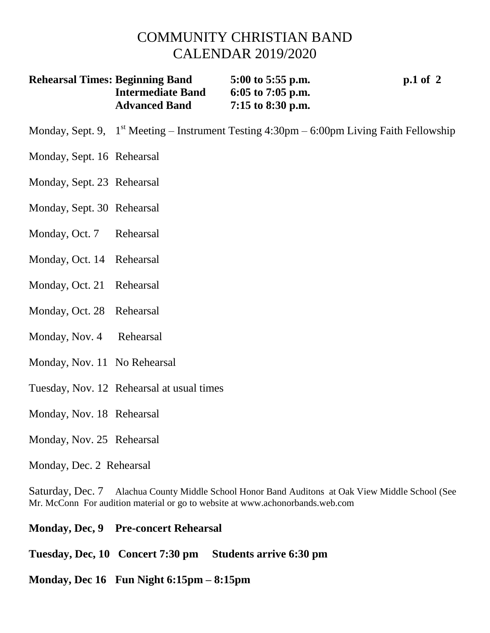## COMMUNITY CHRISTIAN BAND CALENDAR 2019/2020

| <b>Rehearsal Times: Beginning Band</b> | 5:00 to 5:55 p.m.   | $p.1$ of 2 |
|----------------------------------------|---------------------|------------|
| <b>Intermediate Band</b>               | 6:05 to 7:05 p.m.   |            |
| <b>Advanced Band</b>                   | $7:15$ to 8:30 p.m. |            |

- Monday, Sept. 9, 1<sup>st</sup> Meeting Instrument Testing 4:30pm 6:00pm Living Faith Fellowship
- Monday, Sept. 16 Rehearsal
- Monday, Sept. 23 Rehearsal
- Monday, Sept. 30 Rehearsal
- Monday, Oct. 7 Rehearsal
- Monday, Oct. 14 Rehearsal
- Monday, Oct. 21 Rehearsal
- Monday, Oct. 28 Rehearsal
- Monday, Nov. 4 Rehearsal
- Monday, Nov. 11 No Rehearsal
- Tuesday, Nov. 12 Rehearsal at usual times
- Monday, Nov. 18 Rehearsal
- Monday, Nov. 25 Rehearsal
- Monday, Dec. 2 Rehearsal

Saturday, Dec. 7 Alachua County Middle School Honor Band Auditons at Oak View Middle School (See Mr. McConn For audition material or go to website at www.achonorbands.web.com

- **Monday, Dec, 9 Pre-concert Rehearsal**
- **Tuesday, Dec, 10 Concert 7:30 pm Students arrive 6:30 pm**
- **Monday, Dec 16 Fun Night 6:15pm – 8:15pm**